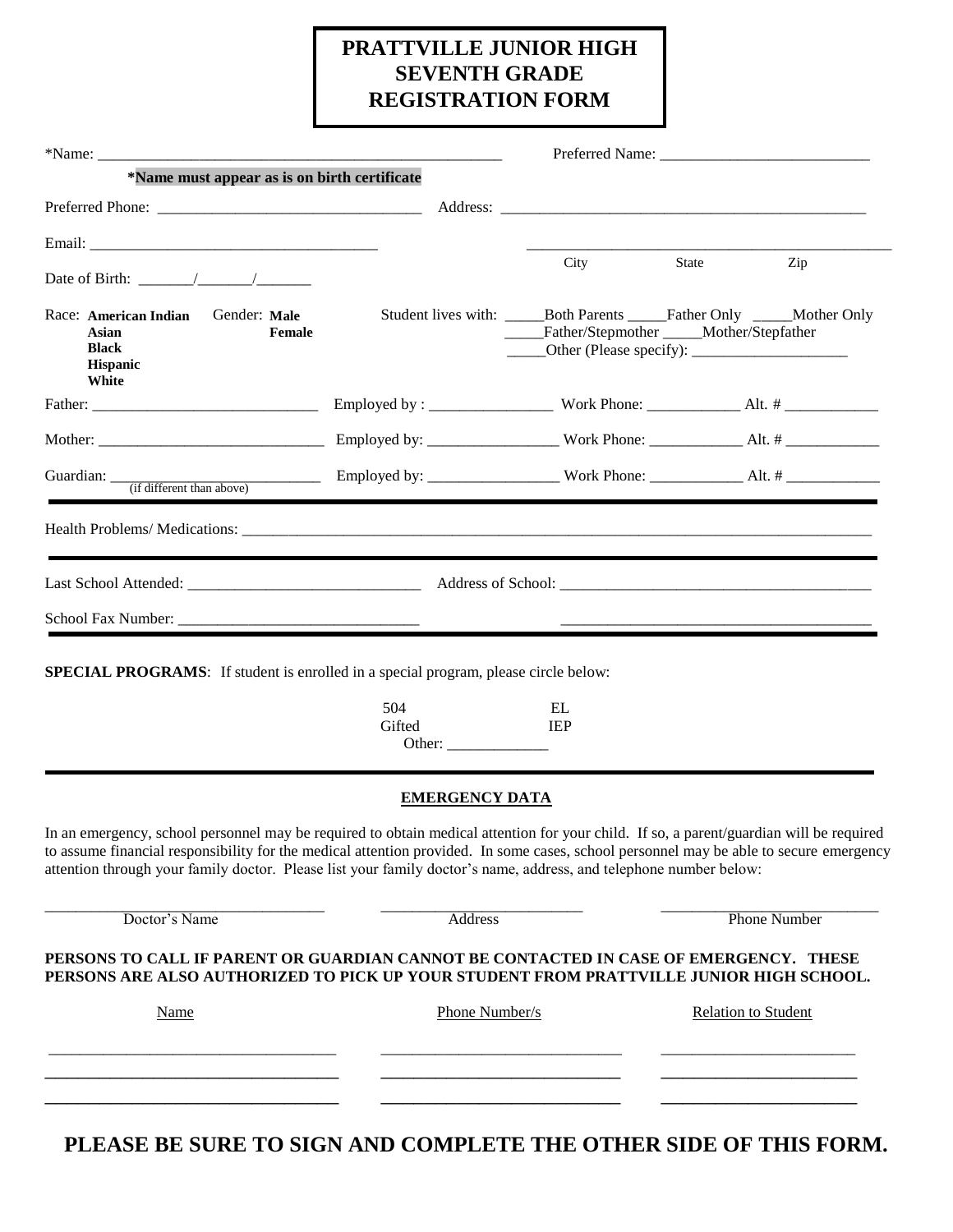## **PRATTVILLE JUNIOR HIGH SEVENTH GRADE REGISTRATION FORM**

| $*$ Name:                                                                                                                                                                                                                                                                                                                                                                                              |                                                                            |                  |                                                                                                                    |                     |  |
|--------------------------------------------------------------------------------------------------------------------------------------------------------------------------------------------------------------------------------------------------------------------------------------------------------------------------------------------------------------------------------------------------------|----------------------------------------------------------------------------|------------------|--------------------------------------------------------------------------------------------------------------------|---------------------|--|
| *Name must appear as is on birth certificate                                                                                                                                                                                                                                                                                                                                                           |                                                                            |                  |                                                                                                                    |                     |  |
|                                                                                                                                                                                                                                                                                                                                                                                                        |                                                                            |                  |                                                                                                                    |                     |  |
|                                                                                                                                                                                                                                                                                                                                                                                                        |                                                                            |                  |                                                                                                                    |                     |  |
|                                                                                                                                                                                                                                                                                                                                                                                                        |                                                                            | City             | State                                                                                                              | Zip                 |  |
| Gender: Male<br>Race: American Indian<br>Asian<br>Female<br><b>Black</b><br><b>Hispanic</b><br>White                                                                                                                                                                                                                                                                                                   |                                                                            |                  | Student lives with: _______Both Parents ______Father Only ______Mother Only<br>Father/Stepmother Mother/Stepfather |                     |  |
|                                                                                                                                                                                                                                                                                                                                                                                                        |                                                                            |                  |                                                                                                                    |                     |  |
|                                                                                                                                                                                                                                                                                                                                                                                                        |                                                                            |                  |                                                                                                                    |                     |  |
|                                                                                                                                                                                                                                                                                                                                                                                                        |                                                                            |                  |                                                                                                                    |                     |  |
|                                                                                                                                                                                                                                                                                                                                                                                                        |                                                                            |                  |                                                                                                                    |                     |  |
|                                                                                                                                                                                                                                                                                                                                                                                                        |                                                                            |                  |                                                                                                                    |                     |  |
|                                                                                                                                                                                                                                                                                                                                                                                                        |                                                                            |                  |                                                                                                                    |                     |  |
|                                                                                                                                                                                                                                                                                                                                                                                                        |                                                                            |                  |                                                                                                                    |                     |  |
| <b>SPECIAL PROGRAMS:</b> If student is enrolled in a special program, please circle below:                                                                                                                                                                                                                                                                                                             | 504<br>Gifted<br>Other: $\frac{1}{\sqrt{1-\frac{1}{2}} \cdot \frac{1}{2}}$ | EL<br><b>IEP</b> |                                                                                                                    |                     |  |
|                                                                                                                                                                                                                                                                                                                                                                                                        | <b>EMERGENCY DATA</b>                                                      |                  |                                                                                                                    |                     |  |
| In an emergency, school personnel may be required to obtain medical attention for your child. If so, a parent/guardian will be required<br>to assume financial responsibility for the medical attention provided. In some cases, school personnel may be able to secure emergency<br>attention through your family doctor. Please list your family doctor's name, address, and telephone number below: |                                                                            |                  |                                                                                                                    |                     |  |
| Doctor's Name                                                                                                                                                                                                                                                                                                                                                                                          | <b>Address</b>                                                             |                  |                                                                                                                    | <b>Phone Number</b> |  |
| PERSONS TO CALL IF PARENT OR GUARDIAN CANNOT BE CONTACTED IN CASE OF EMERGENCY. THESE<br>PERSONS ARE ALSO AUTHORIZED TO PICK UP YOUR STUDENT FROM PRATTVILLE JUNIOR HIGH SCHOOL.                                                                                                                                                                                                                       |                                                                            |                  |                                                                                                                    |                     |  |
| Name                                                                                                                                                                                                                                                                                                                                                                                                   | Phone Number/s                                                             |                  | <b>Relation to Student</b>                                                                                         |                     |  |
|                                                                                                                                                                                                                                                                                                                                                                                                        |                                                                            |                  |                                                                                                                    |                     |  |
|                                                                                                                                                                                                                                                                                                                                                                                                        |                                                                            |                  |                                                                                                                    |                     |  |
|                                                                                                                                                                                                                                                                                                                                                                                                        |                                                                            |                  |                                                                                                                    |                     |  |

**PLEASE BE SURE TO SIGN AND COMPLETE THE OTHER SIDE OF THIS FORM.**